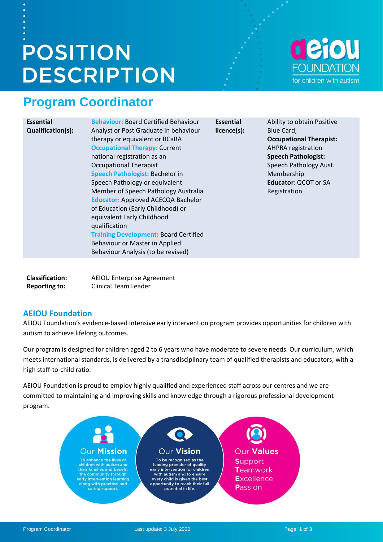# **POSITION DESCRIPTION**

# **Program Coordinator**

### **Essential Qualification(s):**

**Behaviour:** Board Certified Behaviour Analyst or Post Graduate in behaviour therapy or equivalent or BCaBA **Occupational Therapy:** Current national registration as an Occupational Therapist **Speech Pathologist:** Bachelor in Speech Pathology or equivalent Member of Speech Pathology Australia **Educator:** Approved ACECQA Bachelor of Education (Early Childhood) or equivalent Early Childhood qualification **Training Development:** Board Certified Behaviour or Master in Applied Behaviour Analysis (to be revised)

**Essential licence(s):** Ability to obtain Positive Blue Card; **Occupational Therapist:**  AHPRA registration **Speech Pathologist:**  Speech Pathology Aust. Membership **Educator**: QCOT or SA Registration

| <b>Classification:</b> | AEIOU Enterprise Agreement  |
|------------------------|-----------------------------|
| <b>Reporting to:</b>   | <b>Clinical Team Leader</b> |

# **AEIOU Foundation**

AEIOU Foundation's evidence-based intensive early intervention program provides opportunities for children with autism to achieve lifelong outcomes.

Our program is designed for children aged 2 to 6 years who have moderate to severe needs. Our curriculum, which meets international standards, is delivered by a transdisciplinary team of qualified therapists and educators, with a high staff-to-child ratio.

AEIOU Foundation is proud to employ highly qualified and experienced staff across our centres and we are committed to maintaining and improving skills and knowledge through a rigorous professional development program.

### Our Vision Our Values **Our Mission** To enhance the lives of To be recognised as the<br>leading provider of quality **Support** children with autism and their families and benefit<br>the community through<br>early intervention learning early intervention for children Teamwork with autism and to ensure every child is given the best **Excellence** along with practical and<br>caring support. opportunity to reach their full Passion potential in life.

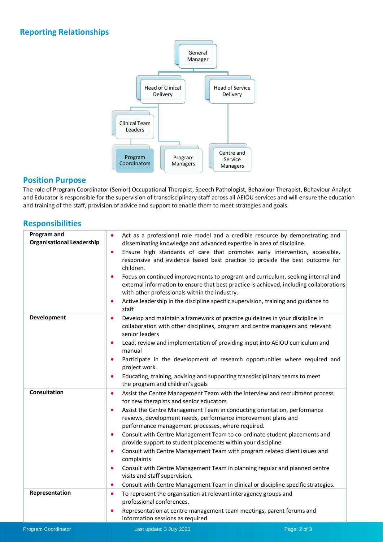# **Reporting Relationships**



### **Position Purpose**

The role of Program Coordinator (Senior) Occupational Therapist, Speech Pathologist, Behaviour Therapist, Behaviour Analyst and Educator is responsible for the supervision of transdisciplinary staff across all AEIOU services and will ensure the education and training of the staff, provision of advice and support to enable them to meet strategies and goals.

### **Responsibilities**

| Program and<br><b>Organisational Leadership</b> | $\bullet$<br>Act as a professional role model and a credible resource by demonstrating and<br>disseminating knowledge and advanced expertise in area of discipline.<br>Ensure high standards of care that promotes early intervention, accessible,<br>$\bullet$<br>responsive and evidence based best practice to provide the best outcome for<br>children.<br>Focus on continued improvements to program and curriculum, seeking internal and<br>$\bullet$<br>external information to ensure that best practice is achieved, including collaborations<br>with other professionals within the industry.<br>Active leadership in the discipline specific supervision, training and guidance to<br>$\bullet$<br>staff                                                                                                                                   |
|-------------------------------------------------|-------------------------------------------------------------------------------------------------------------------------------------------------------------------------------------------------------------------------------------------------------------------------------------------------------------------------------------------------------------------------------------------------------------------------------------------------------------------------------------------------------------------------------------------------------------------------------------------------------------------------------------------------------------------------------------------------------------------------------------------------------------------------------------------------------------------------------------------------------|
| Development                                     | Develop and maintain a framework of practice guidelines in your discipline in<br>$\bullet$<br>collaboration with other disciplines, program and centre managers and relevant<br>senior leaders<br>Lead, review and implementation of providing input into AEIOU curriculum and<br>$\bullet$<br>manual<br>Participate in the development of research opportunities where required and<br>$\bullet$<br>project work.<br>Educating, training, advising and supporting transdisciplinary teams to meet<br>$\bullet$<br>the program and children's goals                                                                                                                                                                                                                                                                                                   |
| <b>Consultation</b>                             | Assist the Centre Management Team with the interview and recruitment process<br>$\bullet$<br>for new therapists and senior educators<br>Assist the Centre Management Team in conducting orientation, performance<br>$\bullet$<br>reviews, development needs, performance improvement plans and<br>performance management processes, where required.<br>Consult with Centre Management Team to co-ordinate student placements and<br>$\bullet$<br>provide support to student placements within your discipline<br>Consult with Centre Management Team with program related client issues and<br>$\bullet$<br>complaints<br>Consult with Centre Management Team in planning regular and planned centre<br>$\bullet$<br>visits and staff supervision.<br>Consult with Centre Management Team in clinical or discipline specific strategies.<br>$\bullet$ |
| Representation                                  | To represent the organisation at relevant interagency groups and<br>$\bullet$<br>professional conferences.<br>Representation at centre management team meetings, parent forums and<br>$\bullet$<br>information sessions as required                                                                                                                                                                                                                                                                                                                                                                                                                                                                                                                                                                                                                   |